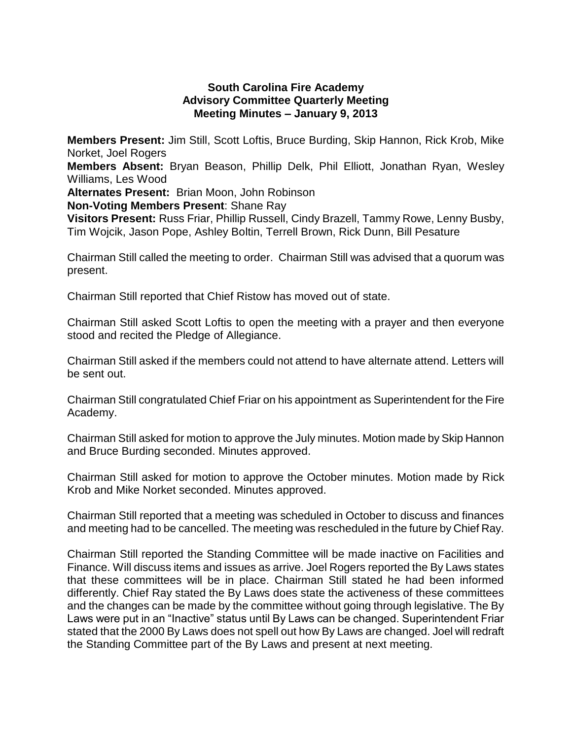## **South Carolina Fire Academy Advisory Committee Quarterly Meeting Meeting Minutes – January 9, 2013**

**Members Present:** Jim Still, Scott Loftis, Bruce Burding, Skip Hannon, Rick Krob, Mike Norket, Joel Rogers

**Members Absent:** Bryan Beason, Phillip Delk, Phil Elliott, Jonathan Ryan, Wesley Williams, Les Wood

**Alternates Present:** Brian Moon, John Robinson

**Non-Voting Members Present**: Shane Ray

**Visitors Present:** Russ Friar, Phillip Russell, Cindy Brazell, Tammy Rowe, Lenny Busby, Tim Wojcik, Jason Pope, Ashley Boltin, Terrell Brown, Rick Dunn, Bill Pesature

Chairman Still called the meeting to order. Chairman Still was advised that a quorum was present.

Chairman Still reported that Chief Ristow has moved out of state.

Chairman Still asked Scott Loftis to open the meeting with a prayer and then everyone stood and recited the Pledge of Allegiance.

Chairman Still asked if the members could not attend to have alternate attend. Letters will be sent out.

Chairman Still congratulated Chief Friar on his appointment as Superintendent for the Fire Academy.

Chairman Still asked for motion to approve the July minutes. Motion made by Skip Hannon and Bruce Burding seconded. Minutes approved.

Chairman Still asked for motion to approve the October minutes. Motion made by Rick Krob and Mike Norket seconded. Minutes approved.

Chairman Still reported that a meeting was scheduled in October to discuss and finances and meeting had to be cancelled. The meeting was rescheduled in the future by Chief Ray.

Chairman Still reported the Standing Committee will be made inactive on Facilities and Finance. Will discuss items and issues as arrive. Joel Rogers reported the By Laws states that these committees will be in place. Chairman Still stated he had been informed differently. Chief Ray stated the By Laws does state the activeness of these committees and the changes can be made by the committee without going through legislative. The By Laws were put in an "Inactive" status until By Laws can be changed. Superintendent Friar stated that the 2000 By Laws does not spell out how By Laws are changed. Joel will redraft the Standing Committee part of the By Laws and present at next meeting.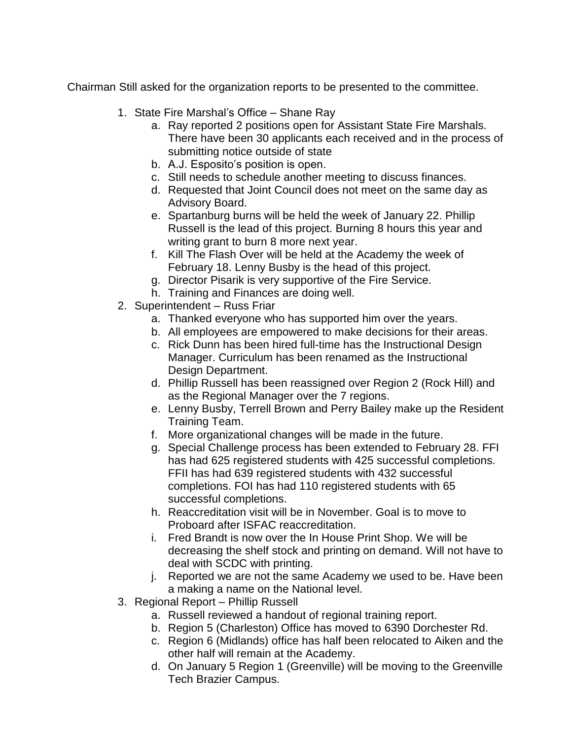Chairman Still asked for the organization reports to be presented to the committee.

- 1. State Fire Marshal's Office Shane Ray
	- a. Ray reported 2 positions open for Assistant State Fire Marshals. There have been 30 applicants each received and in the process of submitting notice outside of state
	- b. A.J. Esposito's position is open.
	- c. Still needs to schedule another meeting to discuss finances.
	- d. Requested that Joint Council does not meet on the same day as Advisory Board.
	- e. Spartanburg burns will be held the week of January 22. Phillip Russell is the lead of this project. Burning 8 hours this year and writing grant to burn 8 more next year.
	- f. Kill The Flash Over will be held at the Academy the week of February 18. Lenny Busby is the head of this project.
	- g. Director Pisarik is very supportive of the Fire Service.
	- h. Training and Finances are doing well.
- 2. Superintendent Russ Friar
	- a. Thanked everyone who has supported him over the years.
	- b. All employees are empowered to make decisions for their areas.
	- c. Rick Dunn has been hired full-time has the Instructional Design Manager. Curriculum has been renamed as the Instructional Design Department.
	- d. Phillip Russell has been reassigned over Region 2 (Rock Hill) and as the Regional Manager over the 7 regions.
	- e. Lenny Busby, Terrell Brown and Perry Bailey make up the Resident Training Team.
	- f. More organizational changes will be made in the future.
	- g. Special Challenge process has been extended to February 28. FFI has had 625 registered students with 425 successful completions. FFII has had 639 registered students with 432 successful completions. FOI has had 110 registered students with 65 successful completions.
	- h. Reaccreditation visit will be in November. Goal is to move to Proboard after ISFAC reaccreditation.
	- i. Fred Brandt is now over the In House Print Shop. We will be decreasing the shelf stock and printing on demand. Will not have to deal with SCDC with printing.
	- j. Reported we are not the same Academy we used to be. Have been a making a name on the National level.
- 3. Regional Report Phillip Russell
	- a. Russell reviewed a handout of regional training report.
	- b. Region 5 (Charleston) Office has moved to 6390 Dorchester Rd.
	- c. Region 6 (Midlands) office has half been relocated to Aiken and the other half will remain at the Academy.
	- d. On January 5 Region 1 (Greenville) will be moving to the Greenville Tech Brazier Campus.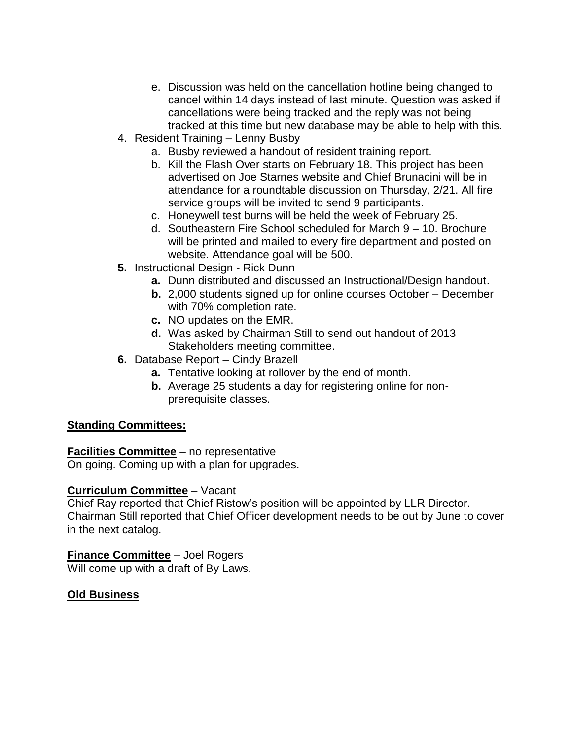- e. Discussion was held on the cancellation hotline being changed to cancel within 14 days instead of last minute. Question was asked if cancellations were being tracked and the reply was not being tracked at this time but new database may be able to help with this.
- 4. Resident Training Lenny Busby
	- a. Busby reviewed a handout of resident training report.
	- b. Kill the Flash Over starts on February 18. This project has been advertised on Joe Starnes website and Chief Brunacini will be in attendance for a roundtable discussion on Thursday, 2/21. All fire service groups will be invited to send 9 participants.
	- c. Honeywell test burns will be held the week of February 25.
	- d. Southeastern Fire School scheduled for March 9 10. Brochure will be printed and mailed to every fire department and posted on website. Attendance goal will be 500.
- **5.** Instructional Design Rick Dunn
	- **a.** Dunn distributed and discussed an Instructional/Design handout.
	- **b.** 2,000 students signed up for online courses October December with 70% completion rate.
	- **c.** NO updates on the EMR.
	- **d.** Was asked by Chairman Still to send out handout of 2013 Stakeholders meeting committee.
- **6.** Database Report Cindy Brazell
	- **a.** Tentative looking at rollover by the end of month.
	- **b.** Average 25 students a day for registering online for nonprerequisite classes.

## **Standing Committees:**

## **Facilities Committee** – no representative

On going. Coming up with a plan for upgrades.

## **Curriculum Committee** – Vacant

Chief Ray reported that Chief Ristow's position will be appointed by LLR Director. Chairman Still reported that Chief Officer development needs to be out by June to cover in the next catalog.

## **Finance Committee** – Joel Rogers

Will come up with a draft of By Laws.

# **Old Business**